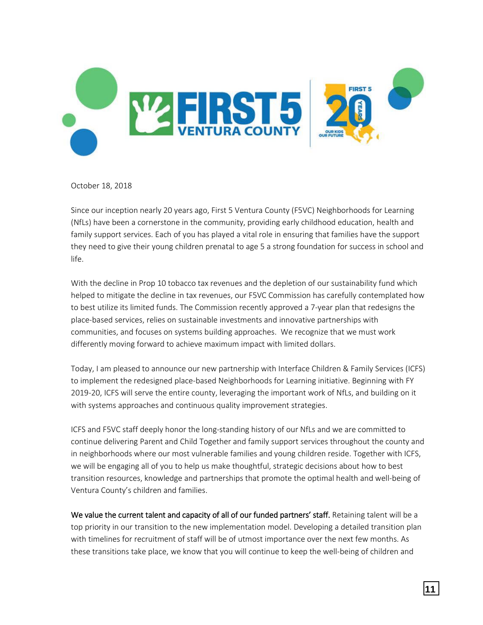

October 18, 2018

Since our inception nearly 20 years ago, First 5 Ventura County (F5VC) Neighborhoods for Learning (NfLs) have been a cornerstone in the community, providing early childhood education, health and family support services. Each of you has played a vital role in ensuring that families have the support they need to give their young children prenatal to age 5 a strong foundation for success in school and life.

With the decline in Prop 10 tobacco tax revenues and the depletion of our sustainability fund which helped to mitigate the decline in tax revenues, our F5VC Commission has carefully contemplated how to best utilize its limited funds. The Commission recently approved a 7-year plan that redesigns the place-based services, relies on sustainable investments and innovative partnerships with communities, and focuses on systems building approaches. We recognize that we must work differently moving forward to achieve maximum impact with limited dollars.

Today, I am pleased to announce our new partnership with Interface Children & Family Services (ICFS) to implement the redesigned place-based Neighborhoods for Learning initiative. Beginning with FY 2019-20, ICFS will serve the entire county, leveraging the important work of NfLs, and building on it with systems approaches and continuous quality improvement strategies.

ICFS and F5VC staff deeply honor the long-standing history of our NfLs and we are committed to continue delivering Parent and Child Together and family support services throughout the county and in neighborhoods where our most vulnerable families and young children reside. Together with ICFS, we will be engaging all of you to help us make thoughtful, strategic decisions about how to best transition resources, knowledge and partnerships that promote the optimal health and well-being of Ventura County's children and families.

We value the current talent and capacity of all of our funded partners' staff. Retaining talent will be a top priority in our transition to the new implementation model. Developing a detailed transition plan with timelines for recruitment of staff will be of utmost importance over the next few months. As these transitions take place, we know that you will continue to keep the well-being of children and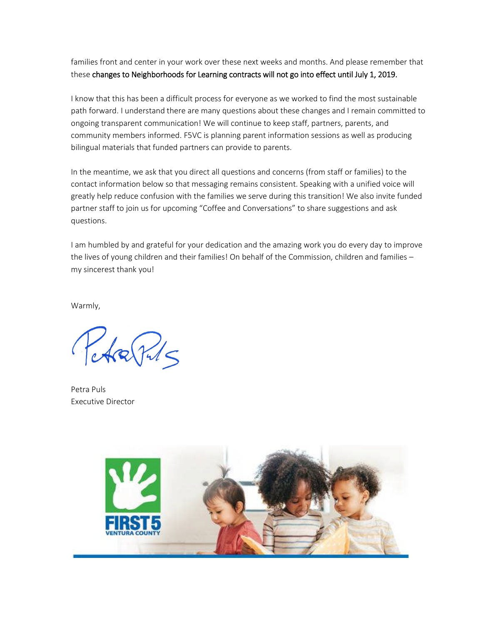families front and center in your work over these next weeks and months. And please remember that these changes to Neighborhoods for Learning contracts will not go into effect until July 1, 2019.

I know that this has been a difficult process for everyone as we worked to find the most sustainable path forward. I understand there are many questions about these changes and I remain committed to ongoing transparent communication! We will continue to keep staff, partners, parents, and community members informed. F5VC is planning parent information sessions as well as producing bilingual materials that funded partners can provide to parents.

In the meantime, we ask that you direct all questions and concerns (from staff or families) to the contact information below so that messaging remains consistent. Speaking with a unified voice will greatly help reduce confusion with the families we serve during this transition! We also invite funded partner staff to join us for upcoming "Coffee and Conversations" to share suggestions and ask questions.

I am humbled by and grateful for your dedication and the amazing work you do every day to improve the lives of young children and their families! On behalf of the Commission, children and families my sincerest thank you!

Warmly,

 $40015$ 

Petra Puls Executive Director

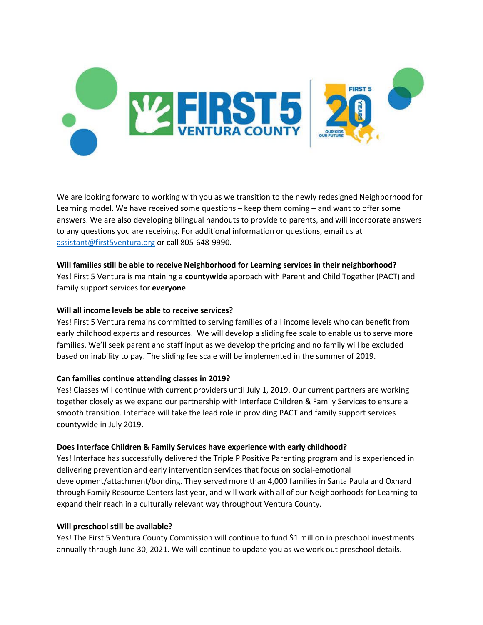

We are looking forward to working with you as we transition to the newly redesigned Neighborhood for Learning model. We have received some questions – keep them coming – and want to offer some answers. We are also developing bilingual handouts to provide to parents, and will incorporate answers to any questions you are receiving. For additional information or questions, email us at assistant@first5ventura.org or call 805-648-9990.

# **Will families still be able to receive Neighborhood for Learning services in their neighborhood?**

Yes! First 5 Ventura is maintaining a **countywide** approach with Parent and Child Together (PACT) and family support services for **everyone**.

## **Will all income levels be able to receive services?**

Yes! First 5 Ventura remains committed to serving families of all income levels who can benefit from early childhood experts and resources. We will develop a sliding fee scale to enable us to serve more families. We'll seek parent and staff input as we develop the pricing and no family will be excluded based on inability to pay. The sliding fee scale will be implemented in the summer of 2019.

## **Can families continue attending classes in 2019?**

Yes! Classes will continue with current providers until July 1, 2019. Our current partners are working together closely as we expand our partnership with Interface Children & Family Services to ensure a smooth transition. Interface will take the lead role in providing PACT and family support services countywide in July 2019.

### **Does Interface Children & Family Services have experience with early childhood?**

Yes! Interface has successfully delivered the Triple P Positive Parenting program and is experienced in delivering prevention and early intervention services that focus on social-emotional development/attachment/bonding. They served more than 4,000 families in Santa Paula and Oxnard through Family Resource Centers last year, and will work with all of our Neighborhoods for Learning to expand their reach in a culturally relevant way throughout Ventura County.

### **Will preschool still be available?**

Yes! The First 5 Ventura County Commission will continue to fund \$1 million in preschool investments annually through June 30, 2021. We will continue to update you as we work out preschool details.